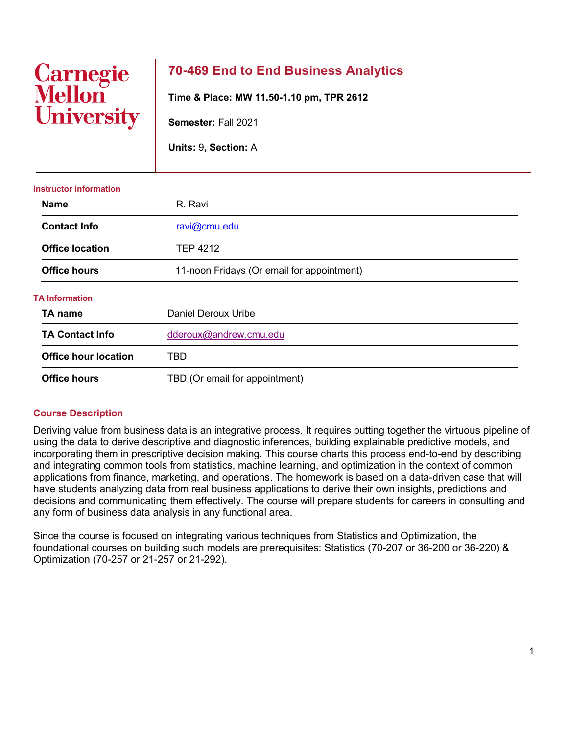# **Carnegie<br>Mellon University**

# **70-469 End to End Business Analytics**

**Time & Place: MW 11.50-1.10 pm, TPR 2612**

**Semester:** Fall 2021

**Units:** 9**, Section:** A

| <b>Name</b>                 | R. Ravi                                    |  |  |
|-----------------------------|--------------------------------------------|--|--|
| <b>Contact Info</b>         | ravi@cmu.edu                               |  |  |
| <b>Office location</b>      | <b>TEP 4212</b>                            |  |  |
| <b>Office hours</b>         | 11-noon Fridays (Or email for appointment) |  |  |
| <b>TA Information</b>       |                                            |  |  |
| TA name                     | <b>Daniel Deroux Uribe</b>                 |  |  |
| <b>TA Contact Info</b>      | dderoux@andrew.cmu.edu                     |  |  |
| <b>Office hour location</b> | TBD                                        |  |  |
| <b>Office hours</b>         | TBD (Or email for appointment)             |  |  |

#### **Instructor information**

## **Course Description**

Deriving value from business data is an integrative process. It requires putting together the virtuous pipeline of using the data to derive descriptive and diagnostic inferences, building explainable predictive models, and incorporating them in prescriptive decision making. This course charts this process end-to-end by describing and integrating common tools from statistics, machine learning, and optimization in the context of common applications from finance, marketing, and operations. The homework is based on a data-driven case that will have students analyzing data from real business applications to derive their own insights, predictions and decisions and communicating them effectively. The course will prepare students for careers in consulting and any form of business data analysis in any functional area.

Since the course is focused on integrating various techniques from Statistics and Optimization, the foundational courses on building such models are prerequisites: Statistics (70-207 or 36-200 or 36-220) & Optimization (70-257 or 21-257 or 21-292).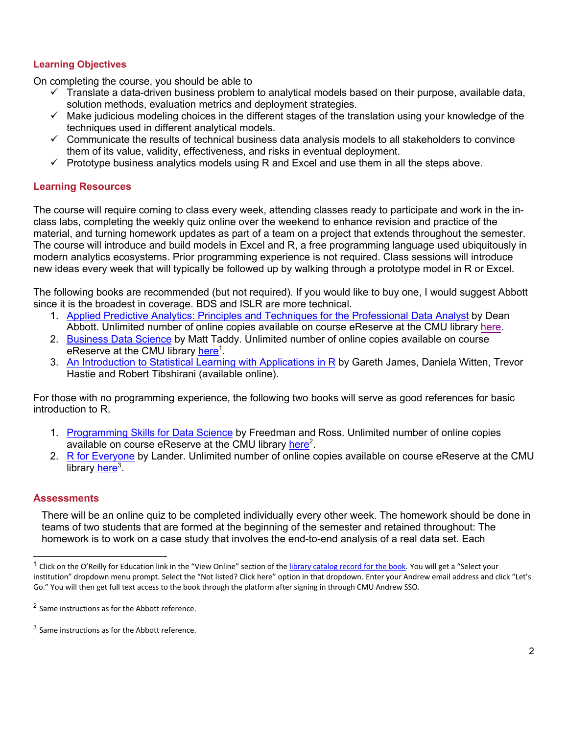## **Learning Objectives**

On completing the course, you should be able to

- $\checkmark$  Translate a data-driven business problem to analytical models based on their purpose, available data, solution methods, evaluation metrics and deployment strategies.
- $\checkmark$  Make judicious modeling choices in the different stages of the translation using your knowledge of the techniques used in different analytical models.
- $\checkmark$  Communicate the results of technical business data analysis models to all stakeholders to convince them of its value, validity, effectiveness, and risks in eventual deployment.
- $\checkmark$  Prototype business analytics models using R and Excel and use them in all the steps above.

#### **Learning Resources**

The course will require coming to class every week, attending classes ready to participate and work in the inclass labs, completing the weekly quiz online over the weekend to enhance revision and practice of the material, and turning homework updates as part of a team on a project that extends throughout the semester. The course will introduce and build models in Excel and R, a free programming language used ubiquitously in modern analytics ecosystems. Prior programming experience is not required. Class sessions will introduce new ideas every week that will typically be followed up by walking through a prototype model in R or Excel.

The following books are recommended (but not required). If you would like to buy one, I would suggest Abbott since it is the broadest in coverage. BDS and ISLR are more technical.

- 1. Applied Predictive Analytics: Principles and Techniques for the Professional Data Analyst by Dean Abbott. Unlimited number of online copies available on course eReserve at the CMU library here.
- 2. Business Data Science by Matt Taddy. Unlimited number of online copies available on course eReserve at the CMU library <u>here</u><sup>1</sup>.
- 3. An Introduction to Statistical Learning with Applications in R by Gareth James, Daniela Witten, Trevor Hastie and Robert Tibshirani (available online).

For those with no programming experience, the following two books will serve as good references for basic introduction to R.

- 1. Programming Skills for Data Science by Freedman and Ross. Unlimited number of online copies available on course eReserve at the CMU library here<sup>2</sup>.
- 2. R for Everyone by Lander. Unlimited number of online copies available on course eReserve at the CMU library <u>here</u><sup>3</sup>.

#### **Assessments**

There will be an online quiz to be completed individually every other week. The homework should be done in teams of two students that are formed at the beginning of the semester and retained throughout: The homework is to work on a case study that involves the end-to-end analysis of a real data set. Each

<sup>&</sup>lt;sup>1</sup> Click on the O'Reilly for Education link in the "View Online" section of the library catalog record for the book. You will get a "Select your institution" dropdown menu prompt. Select the "Not listed? Click here" option in that dropdown. Enter your Andrew email address and click "Let's Go." You will then get full text access to the book through the platform after signing in through CMU Andrew SSO.

<sup>2</sup> Same instructions as for the Abbott reference.

 $3$  Same instructions as for the Abbott reference.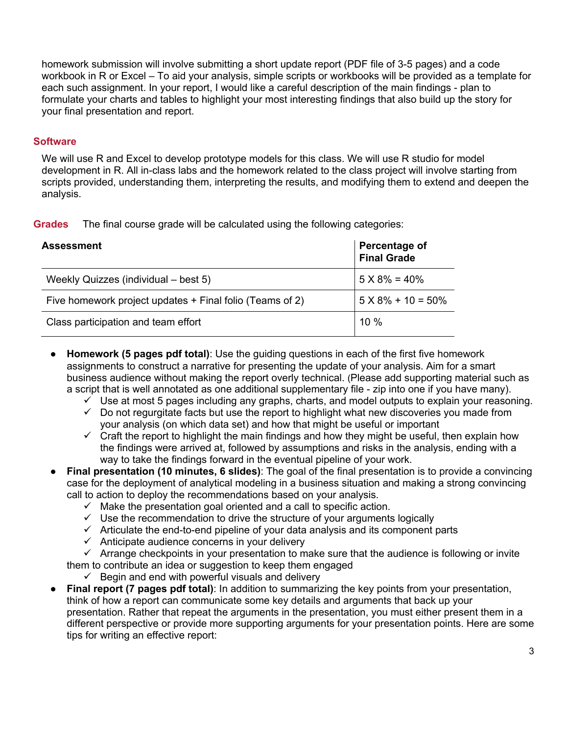homework submission will involve submitting a short update report (PDF file of 3-5 pages) and a code workbook in R or Excel – To aid your analysis, simple scripts or workbooks will be provided as a template for each such assignment. In your report, I would like a careful description of the main findings - plan to formulate your charts and tables to highlight your most interesting findings that also build up the story for your final presentation and report.

#### **Software**

We will use R and Excel to develop prototype models for this class. We will use R studio for model development in R. All in-class labs and the homework related to the class project will involve starting from scripts provided, understanding them, interpreting the results, and modifying them to extend and deepen the analysis.

| <b>Grades</b> | The final course grade will be calculated using the following categories: |  |  |  |  |
|---------------|---------------------------------------------------------------------------|--|--|--|--|
|---------------|---------------------------------------------------------------------------|--|--|--|--|

| <b>Assessment</b>                                        | <b>Percentage of</b><br>Final Grade |
|----------------------------------------------------------|-------------------------------------|
| Weekly Quizzes (individual – best 5)                     | $5 X 8\% = 40\%$                    |
| Five homework project updates + Final folio (Teams of 2) | $5 \times 8\% + 10 = 50\%$          |
| Class participation and team effort                      | 10%                                 |

- **Homework (5 pages pdf total)**: Use the guiding questions in each of the first five homework assignments to construct a narrative for presenting the update of your analysis. Aim for a smart business audience without making the report overly technical. (Please add supporting material such as a script that is well annotated as one additional supplementary file - zip into one if you have many).
	- $\checkmark$  Use at most 5 pages including any graphs, charts, and model outputs to explain your reasoning.
	- $\checkmark$  Do not regurgitate facts but use the report to highlight what new discoveries you made from your analysis (on which data set) and how that might be useful or important
	- $\checkmark$  Craft the report to highlight the main findings and how they might be useful, then explain how the findings were arrived at, followed by assumptions and risks in the analysis, ending with a way to take the findings forward in the eventual pipeline of your work.
- **Final presentation (10 minutes, 6 slides)**: The goal of the final presentation is to provide a convincing case for the deployment of analytical modeling in a business situation and making a strong convincing call to action to deploy the recommendations based on your analysis.
	- $\checkmark$  Make the presentation goal oriented and a call to specific action.
	- $\checkmark$  Use the recommendation to drive the structure of your arguments logically
	- $\checkmark$  Articulate the end-to-end pipeline of your data analysis and its component parts
	- $\checkmark$  Anticipate audience concerns in your delivery

 $\checkmark$  Arrange checkpoints in your presentation to make sure that the audience is following or invite them to contribute an idea or suggestion to keep them engaged

- $\checkmark$  Begin and end with powerful visuals and delivery
- **Final report (7 pages pdf total)**: In addition to summarizing the key points from your presentation, think of how a report can communicate some key details and arguments that back up your presentation. Rather that repeat the arguments in the presentation, you must either present them in a different perspective or provide more supporting arguments for your presentation points. Here are some tips for writing an effective report: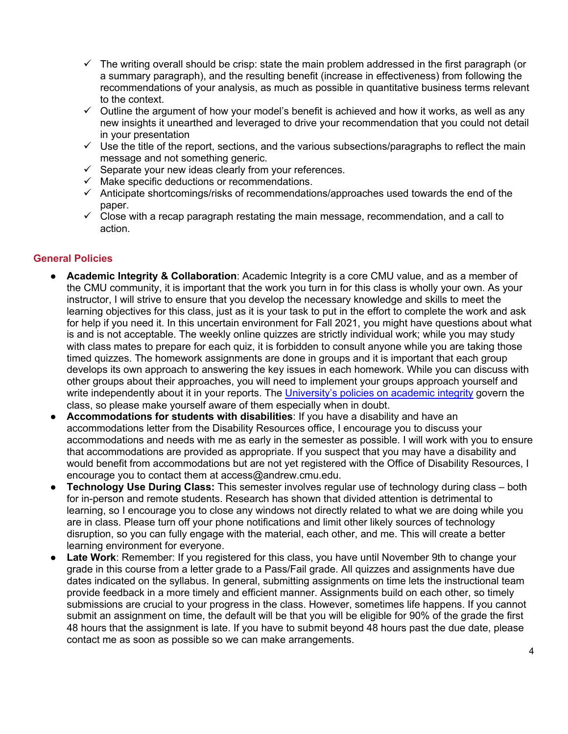- $\checkmark$  The writing overall should be crisp: state the main problem addressed in the first paragraph (or a summary paragraph), and the resulting benefit (increase in effectiveness) from following the recommendations of your analysis, as much as possible in quantitative business terms relevant to the context.
- $\checkmark$  Outline the argument of how your model's benefit is achieved and how it works, as well as any new insights it unearthed and leveraged to drive your recommendation that you could not detail in your presentation
- $\checkmark$  Use the title of the report, sections, and the various subsections/paragraphs to reflect the main message and not something generic.
- $\checkmark$  Separate your new ideas clearly from your references.
- $\checkmark$  Make specific deductions or recommendations.
- $\checkmark$  Anticipate shortcomings/risks of recommendations/approaches used towards the end of the paper.
- $\checkmark$  Close with a recap paragraph restating the main message, recommendation, and a call to action.

#### **General Policies**

- **Academic Integrity & Collaboration**: Academic Integrity is a core CMU value, and as a member of the CMU community, it is important that the work you turn in for this class is wholly your own. As your instructor, I will strive to ensure that you develop the necessary knowledge and skills to meet the learning objectives for this class, just as it is your task to put in the effort to complete the work and ask for help if you need it. In this uncertain environment for Fall 2021, you might have questions about what is and is not acceptable. The weekly online quizzes are strictly individual work; while you may study with class mates to prepare for each quiz, it is forbidden to consult anyone while you are taking those timed quizzes. The homework assignments are done in groups and it is important that each group develops its own approach to answering the key issues in each homework. While you can discuss with other groups about their approaches, you will need to implement your groups approach yourself and write independently about it in your reports. The University's policies on academic integrity govern the class, so please make yourself aware of them especially when in doubt.
- Accommodations for students with disabilities: If you have a disability and have an accommodations letter from the Disability Resources office, I encourage you to discuss your accommodations and needs with me as early in the semester as possible. I will work with you to ensure that accommodations are provided as appropriate. If you suspect that you may have a disability and would benefit from accommodations but are not yet registered with the Office of Disability Resources, I encourage you to contact them at access@andrew.cmu.edu.
- **Technology Use During Class:** This semester involves regular use of technology during class both for in-person and remote students. Research has shown that divided attention is detrimental to learning, so I encourage you to close any windows not directly related to what we are doing while you are in class. Please turn off your phone notifications and limit other likely sources of technology disruption, so you can fully engage with the material, each other, and me. This will create a better learning environment for everyone.
- **Late Work:** Remember: If you registered for this class, you have until November 9th to change your grade in this course from a letter grade to a Pass/Fail grade. All quizzes and assignments have due dates indicated on the syllabus. In general, submitting assignments on time lets the instructional team provide feedback in a more timely and efficient manner. Assignments build on each other, so timely submissions are crucial to your progress in the class. However, sometimes life happens. If you cannot submit an assignment on time, the default will be that you will be eligible for 90% of the grade the first 48 hours that the assignment is late. If you have to submit beyond 48 hours past the due date, please contact me as soon as possible so we can make arrangements.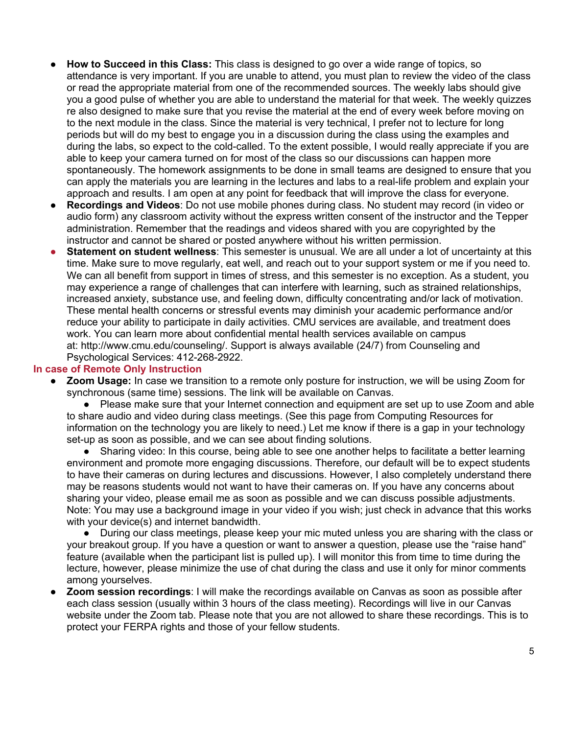- **How to Succeed in this Class:** This class is designed to go over a wide range of topics, so attendance is very important. If you are unable to attend, you must plan to review the video of the class or read the appropriate material from one of the recommended sources. The weekly labs should give you a good pulse of whether you are able to understand the material for that week. The weekly quizzes re also designed to make sure that you revise the material at the end of every week before moving on to the next module in the class. Since the material is very technical, I prefer not to lecture for long periods but will do my best to engage you in a discussion during the class using the examples and during the labs, so expect to the cold-called. To the extent possible, I would really appreciate if you are able to keep your camera turned on for most of the class so our discussions can happen more spontaneously. The homework assignments to be done in small teams are designed to ensure that you can apply the materials you are learning in the lectures and labs to a real-life problem and explain your approach and results. I am open at any point for feedback that will improve the class for everyone.
- **Recordings and Videos**: Do not use mobile phones during class. No student may record (in video or audio form) any classroom activity without the express written consent of the instructor and the Tepper administration. Remember that the readings and videos shared with you are copyrighted by the instructor and cannot be shared or posted anywhere without his written permission.
- **Statement on student wellness**: This semester is unusual. We are all under a lot of uncertainty at this time. Make sure to move regularly, eat well, and reach out to your support system or me if you need to. We can all benefit from support in times of stress, and this semester is no exception. As a student, you may experience a range of challenges that can interfere with learning, such as strained relationships, increased anxiety, substance use, and feeling down, difficulty concentrating and/or lack of motivation. These mental health concerns or stressful events may diminish your academic performance and/or reduce your ability to participate in daily activities. CMU services are available, and treatment does work. You can learn more about confidential mental health services available on campus at: http://www.cmu.edu/counseling/. Support is always available (24/7) from Counseling and Psychological Services: 412-268-2922.

#### **In case of Remote Only Instruction**

**Zoom Usage:** In case we transition to a remote only posture for instruction, we will be using Zoom for synchronous (same time) sessions. The link will be available on Canvas.

● Please make sure that your Internet connection and equipment are set up to use Zoom and able to share audio and video during class meetings. (See this page from Computing Resources for information on the technology you are likely to need.) Let me know if there is a gap in your technology set-up as soon as possible, and we can see about finding solutions.

● Sharing video: In this course, being able to see one another helps to facilitate a better learning environment and promote more engaging discussions. Therefore, our default will be to expect students to have their cameras on during lectures and discussions. However, I also completely understand there may be reasons students would not want to have their cameras on. If you have any concerns about sharing your video, please email me as soon as possible and we can discuss possible adjustments. Note: You may use a background image in your video if you wish; just check in advance that this works with your device(s) and internet bandwidth.

● During our class meetings, please keep your mic muted unless you are sharing with the class or your breakout group. If you have a question or want to answer a question, please use the "raise hand" feature (available when the participant list is pulled up). I will monitor this from time to time during the lecture, however, please minimize the use of chat during the class and use it only for minor comments among yourselves.

**Zoom session recordings**: I will make the recordings available on Canvas as soon as possible after each class session (usually within 3 hours of the class meeting). Recordings will live in our Canvas website under the Zoom tab. Please note that you are not allowed to share these recordings. This is to protect your FERPA rights and those of your fellow students.